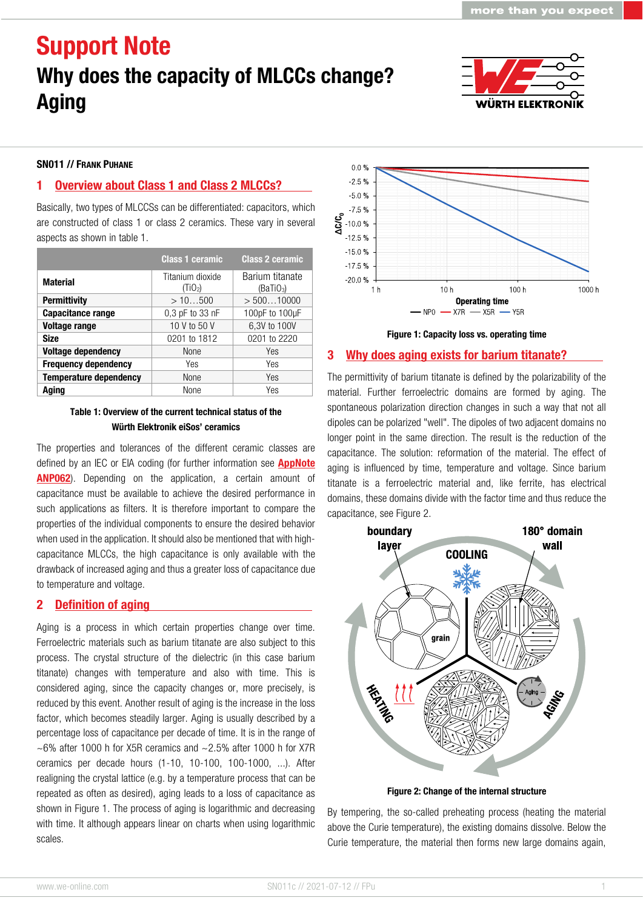

#### SN011 // FRANK PUHANE

#### 1 Overview about Class 1 and Class 2 MLCCs?

Basically, two types of MLCCSs can be differentiated: capacitors, which are constructed of class 1 or class 2 ceramics. These vary in several aspects as shown in table 1.

|                               | <b>Class 1 ceramic</b>                  | <b>Class 2 ceramic</b>                   |
|-------------------------------|-----------------------------------------|------------------------------------------|
| <b>Material</b>               | Titanium dioxide<br>(TiO <sub>2</sub> ) | Barium titanate<br>(BaTiO <sub>3</sub> ) |
| <b>Permittivity</b>           | >10500                                  | > 50010000                               |
| <b>Capacitance range</b>      | 0.3 pF to 33 nF                         | 100pF to 100µF                           |
| <b>Voltage range</b>          | 10 V to 50 V                            | 6,3V to 100V                             |
| <b>Size</b>                   | 0201 to 1812                            | 0201 to 2220                             |
| <b>Voltage dependency</b>     | None                                    | Yes                                      |
| <b>Frequency dependency</b>   | Yes                                     | Yes                                      |
| <b>Temperature dependency</b> | None                                    | Yes                                      |
| Aging                         | None                                    | Yes                                      |

#### Table 1: Overview of the current technical status of the Würth Elektronik eiSos' ceramics

The properties and tolerances of the different ceramic classes are defined by an IEC or EIA coding (for further information see **AppNote** [ANP062](https://www.we-online.com/anp062)). Depending on the application, a certain amount of capacitance must be available to achieve the desired performance in such applications as filters. It is therefore important to compare the properties of the individual components to ensure the desired behavior when used in the application. It should also be mentioned that with highcapacitance MLCCs, the high capacitance is only available with the drawback of increased aging and thus a greater loss of capacitance due to temperature and voltage.

#### 2 Definition of aging

Aging is a process in which certain properties change over time. Ferroelectric materials such as barium titanate are also subject to this process. The crystal structure of the dielectric (in this case barium titanate) changes with temperature and also with time. This is considered aging, since the capacity changes or, more precisely, is reduced by this event. Another result of aging is the increase in the loss factor, which becomes steadily larger. Aging is usually described by a percentage loss of capacitance per decade of time. It is in the range of  $\sim$  6% after 1000 h for X5R ceramics and  $\sim$  2.5% after 1000 h for X7R ceramics per decade hours (1-10, 10-100, 100-1000, ...). After realigning the crystal lattice (e.g. by a temperature process that can be repeated as often as desired), aging leads to a loss of capacitance as shown in Figure 1. The process of aging is logarithmic and decreasing with time. It although appears linear on charts when using logarithmic scales.



#### Figure 1: Capacity loss vs. operating time

#### 3 Why does aging exists for barium titanate?

The permittivity of barium titanate is defined by the polarizability of the material. Further ferroelectric domains are formed by aging. The spontaneous polarization direction changes in such a way that not all dipoles can be polarized "well". The dipoles of two adjacent domains no longer point in the same direction. The result is the reduction of the capacitance. The solution: reformation of the material. The effect of aging is influenced by time, temperature and voltage. Since barium titanate is a ferroelectric material and, like ferrite, has electrical domains, these domains divide with the factor time and thus reduce the capacitance, see Figure 2.



Figure 2: Change of the internal structure

By tempering, the so-called preheating process (heating the material above the Curie temperature), the existing domains dissolve. Below the Curie temperature, the material then forms new large domains again,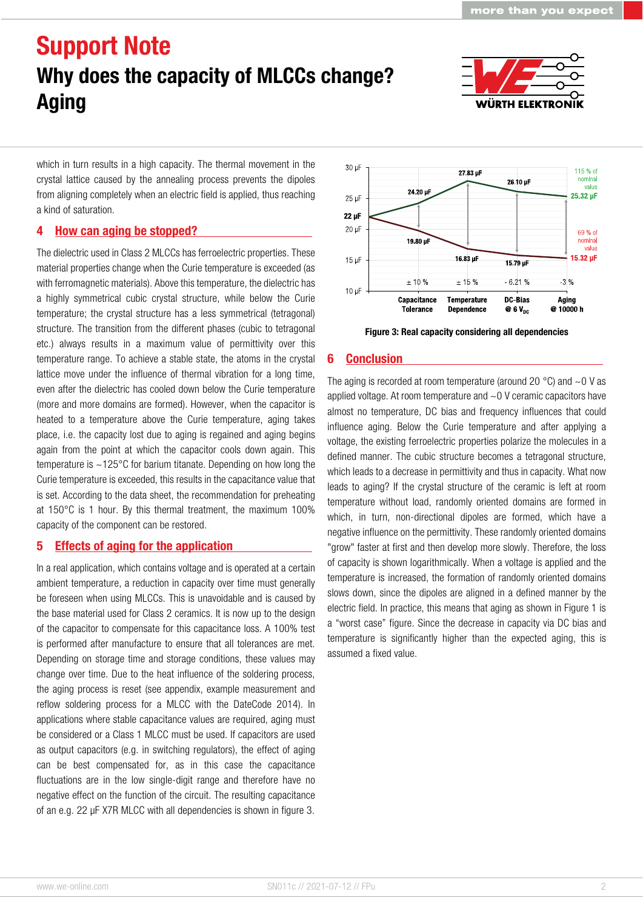

which in turn results in a high capacity. The thermal movement in the crystal lattice caused by the annealing process prevents the dipoles from aligning completely when an electric field is applied, thus reaching a kind of saturation.

### 4 How can aging be stopped?

The dielectric used in Class 2 MLCCs has ferroelectric properties. These material properties change when the Curie temperature is exceeded (as with ferromagnetic materials). Above this temperature, the dielectric has a highly symmetrical cubic crystal structure, while below the Curie temperature; the crystal structure has a less symmetrical (tetragonal) structure. The transition from the different phases (cubic to tetragonal etc.) always results in a maximum value of permittivity over this temperature range. To achieve a stable state, the atoms in the crystal lattice move under the influence of thermal vibration for a long time, even after the dielectric has cooled down below the Curie temperature (more and more domains are formed). However, when the capacitor is heated to a temperature above the Curie temperature, aging takes place, i.e. the capacity lost due to aging is regained and aging begins again from the point at which the capacitor cools down again. This temperature is ~125°C for barium titanate. Depending on how long the Curie temperature is exceeded, this results in the capacitance value that is set. According to the data sheet, the recommendation for preheating at 150°C is 1 hour. By this thermal treatment, the maximum 100% capacity of the component can be restored.

### 5 Effects of aging for the application

In a real application, which contains voltage and is operated at a certain ambient temperature, a reduction in capacity over time must generally be foreseen when using MLCCs. This is unavoidable and is caused by the base material used for Class 2 ceramics. It is now up to the design of the capacitor to compensate for this capacitance loss. A 100% test is performed after manufacture to ensure that all tolerances are met. Depending on storage time and storage conditions, these values may change over time. Due to the heat influence of the soldering process, the aging process is reset (see appendix, example measurement and reflow soldering process for a MLCC with the DateCode 2014). In applications where stable capacitance values are required, aging must be considered or a Class 1 MLCC must be used. If capacitors are used as output capacitors (e.g. in switching regulators), the effect of aging can be best compensated for, as in this case the capacitance fluctuations are in the low single-digit range and therefore have no negative effect on the function of the circuit. The resulting capacitance of an e.g. 22 µF X7R MLCC with all dependencies is shown in figure 3.



Figure 3: Real capacity considering all dependencies

#### 6 Conclusion

The aging is recorded at room temperature (around 20  $^{\circ}$ C) and  $\sim$ 0 V as applied voltage. At room temperature and ~0 V ceramic capacitors have almost no temperature, DC bias and frequency influences that could influence aging. Below the Curie temperature and after applying a voltage, the existing ferroelectric properties polarize the molecules in a defined manner. The cubic structure becomes a tetragonal structure, which leads to a decrease in permittivity and thus in capacity. What now leads to aging? If the crystal structure of the ceramic is left at room temperature without load, randomly oriented domains are formed in which, in turn, non-directional dipoles are formed, which have a negative influence on the permittivity. These randomly oriented domains "grow" faster at first and then develop more slowly. Therefore, the loss of capacity is shown logarithmically. When a voltage is applied and the temperature is increased, the formation of randomly oriented domains slows down, since the dipoles are aligned in a defined manner by the electric field. In practice, this means that aging as shown in Figure 1 is a "worst case" figure. Since the decrease in capacity via DC bias and temperature is significantly higher than the expected aging, this is assumed a fixed value.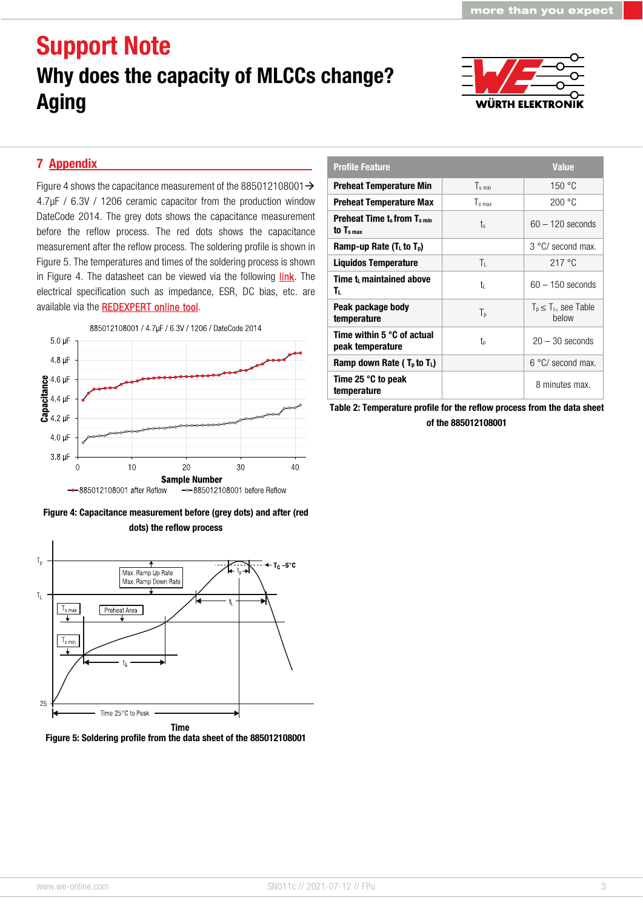

#### 7 Appendix

Figure 4 shows the capacitance measurement of the 885012108001 $\rightarrow$ 4.7µF / 6.3V / 1206 ceramic capacitor from the production window DateCode 2014. The grey dots shows the capacitance measurement before the reflow process. The red dots shows the capacitance measurement after the reflow process. The soldering profile is shown in Figure 5. The temperatures and times of the soldering process is shown in Figure 4. The datasheet can be viewed via the following *link*. The electrical specification such as impedance, ESR, DC bias, etc. are available via the **REDEXPERT online tool**.







Figure 5: Soldering profile from the data sheet of the 885012108001

| <b>Profile Feature</b>                                      |                    | <b>Value</b>                        |
|-------------------------------------------------------------|--------------------|-------------------------------------|
| <b>Preheat Temperature Min</b>                              | T <sub>s min</sub> | 150 °C                              |
| <b>Preheat Temperature Max</b>                              | Ts max             | 200 °C                              |
| <b>Preheat Time ts from Ts min</b><br>to $T_{\rm s \, max}$ | ts                 | $60 - 120$ seconds                  |
| Ramp-up Rate ( $TL$ to $Tp$ )                               |                    | 3 °C/ second max.                   |
| <b>Liquidos Temperature</b>                                 | Τı                 | 217 °C                              |
| Time t maintained above<br>т.                               | tı                 | $60 - 150$ seconds                  |
| Peak package body<br>temperature                            | $T_{p}$            | $T_p \leq T_c$ , see Table<br>helow |
| Time within 5 °C of actual<br>peak temperature              | tp                 | $20 - 30$ seconds                   |
| Ramp down Rate ( $T_p$ to $T_l$ )                           |                    | $6 °C$ second max.                  |
| Time 25 °C to peak<br>temperature                           |                    | 8 minutes max.                      |

Table 2: Temperature profile for the reflow process from the data sheet of the 885012108001